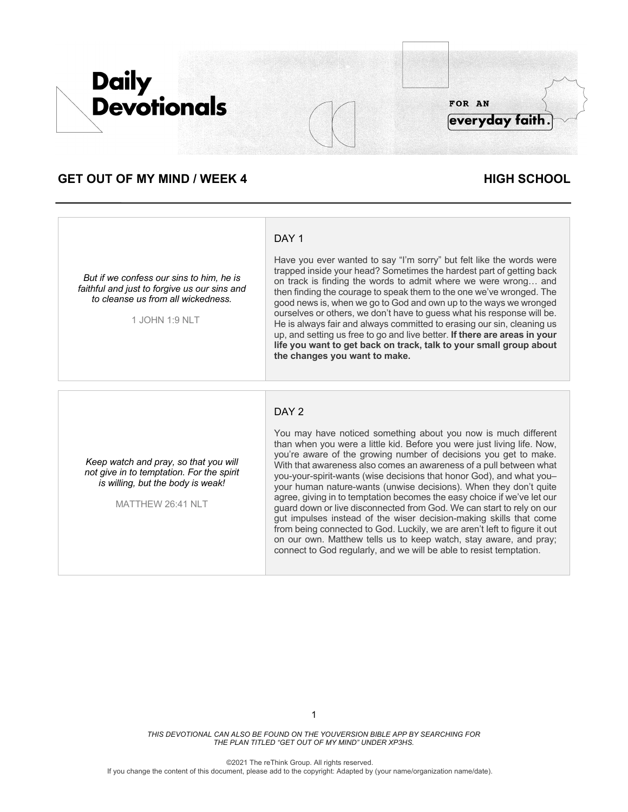

# **GET OUT OF MY MIND / WEEK 4 HIGH SCHOOL**

#### *But if we confess our sins to him, he is faithful and just to forgive us our sins and to cleanse us from all wickedness.*

1 JOHN 1:9 NLT

# DAY<sub>1</sub>

Have you ever wanted to say "I'm sorry" but felt like the words were trapped inside your head? Sometimes the hardest part of getting back on track is finding the words to admit where we were wrong… and then finding the courage to speak them to the one we've wronged. The good news is, when we go to God and own up to the ways we wronged ourselves or others, we don't have to guess what his response will be. He is always fair and always committed to erasing our sin, cleaning us up, and setting us free to go and live better. **If there are areas in your life you want to get back on track, talk to your small group about the changes you want to make.**

### DAY<sub>2</sub>

*Keep watch and pray, so that you will not give in to temptation. For the spirit is willing, but the body is weak!*

MATTHEW 26:41 NLT

You may have noticed something about you now is much different than when you were a little kid. Before you were just living life. Now, you're aware of the growing number of decisions you get to make. With that awareness also comes an awareness of a pull between what you-your-spirit-wants (wise decisions that honor God), and what you– your human nature-wants (unwise decisions). When they don't quite agree, giving in to temptation becomes the easy choice if we've let our guard down or live disconnected from God. We can start to rely on our gut impulses instead of the wiser decision-making skills that come from being connected to God. Luckily, we are aren't left to figure it out on our own. Matthew tells us to keep watch, stay aware, and pray; connect to God regularly, and we will be able to resist temptation.

*THIS DEVOTIONAL CAN ALSO BE FOUND ON THE YOUVERSION BIBLE APP BY SEARCHING FOR THE PLAN TITLED "GET OUT OF MY MIND" UNDER XP3HS.*

©2021 The reThink Group. All rights reserved.

If you change the content of this document, please add to the copyright: Adapted by (your name/organization name/date).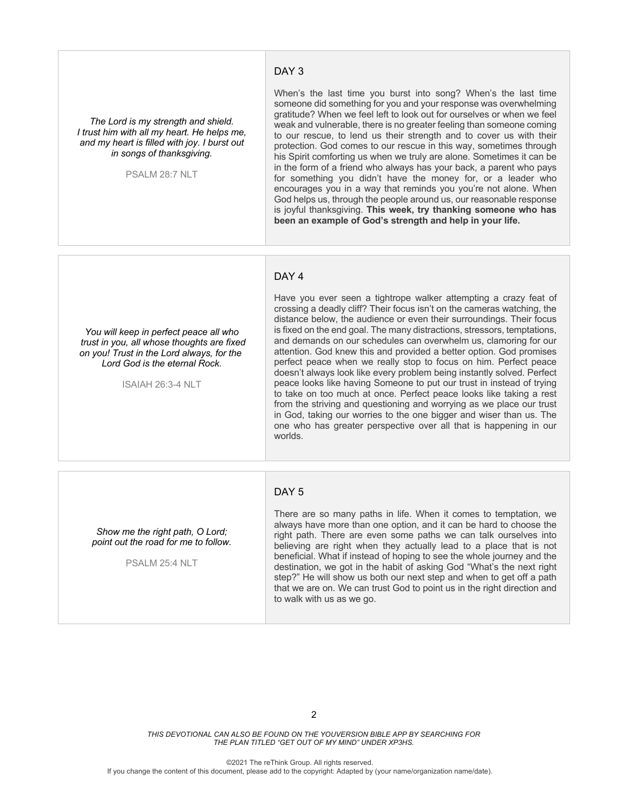#### DAY<sub>3</sub>

*The Lord is my strength and shield. I trust him with all my heart. He helps me, and my heart is filled with joy. I burst out in songs of thanksgiving.*

PSALM 28:7 NLT

When's the last time you burst into song? When's the last time someone did something for you and your response was overwhelming gratitude? When we feel left to look out for ourselves or when we feel weak and vulnerable, there is no greater feeling than someone coming to our rescue, to lend us their strength and to cover us with their protection. God comes to our rescue in this way, sometimes through his Spirit comforting us when we truly are alone. Sometimes it can be in the form of a friend who always has your back, a parent who pays for something you didn't have the money for, or a leader who encourages you in a way that reminds you you're not alone. When God helps us, through the people around us, our reasonable response is joyful thanksgiving. **This week, try thanking someone who has been an example of God's strength and help in your life.**

### DAY 4

*You will keep in perfect peace all who trust in you, all whose thoughts are fixed on you! Trust in the Lord always, for the Lord God is the eternal Rock.*

ISAIAH 26:3-4 NLT

Have you ever seen a tightrope walker attempting a crazy feat of crossing a deadly cliff? Their focus isn't on the cameras watching, the distance below, the audience or even their surroundings. Their focus is fixed on the end goal. The many distractions, stressors, temptations, and demands on our schedules can overwhelm us, clamoring for our attention. God knew this and provided a better option. God promises perfect peace when we really stop to focus on him. Perfect peace doesn't always look like every problem being instantly solved. Perfect peace looks like having Someone to put our trust in instead of trying to take on too much at once. Perfect peace looks like taking a rest from the striving and questioning and worrying as we place our trust in God, taking our worries to the one bigger and wiser than us. The one who has greater perspective over all that is happening in our worlds.

#### DAY<sub>5</sub>

*Show me the right path, O Lord; point out the road for me to follow.*

PSALM 25:4 NLT

There are so many paths in life. When it comes to temptation, we always have more than one option, and it can be hard to choose the right path. There are even some paths we can talk ourselves into believing are right when they actually lead to a place that is not beneficial. What if instead of hoping to see the whole journey and the destination, we got in the habit of asking God "What's the next right step?" He will show us both our next step and when to get off a path that we are on. We can trust God to point us in the right direction and to walk with us as we go.

*THIS DEVOTIONAL CAN ALSO BE FOUND ON THE YOUVERSION BIBLE APP BY SEARCHING FOR THE PLAN TITLED "GET OUT OF MY MIND" UNDER XP3HS.*

©2021 The reThink Group. All rights reserved. If you change the content of this document, please add to the copyright: Adapted by (your name/organization name/date).